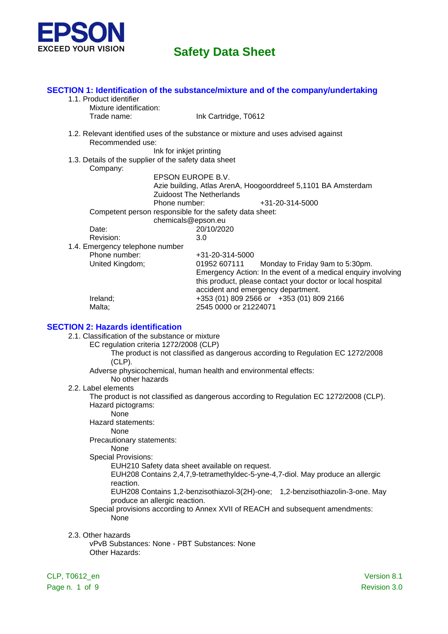

|                                                         | SECTION 1: Identification of the substance/mixture and of the company/undertaking  |  |  |  |
|---------------------------------------------------------|------------------------------------------------------------------------------------|--|--|--|
| 1.1. Product identifier                                 |                                                                                    |  |  |  |
| Mixture identification:                                 |                                                                                    |  |  |  |
| Trade name:                                             | Ink Cartridge, T0612                                                               |  |  |  |
|                                                         | 1.2. Relevant identified uses of the substance or mixture and uses advised against |  |  |  |
| Recommended use:                                        |                                                                                    |  |  |  |
| Ink for inkjet printing                                 |                                                                                    |  |  |  |
| 1.3. Details of the supplier of the safety data sheet   |                                                                                    |  |  |  |
| Company:                                                |                                                                                    |  |  |  |
| EPSON EUROPE B.V.                                       |                                                                                    |  |  |  |
|                                                         | Azie building, Atlas ArenA, Hoogoorddreef 5,1101 BA Amsterdam                      |  |  |  |
|                                                         | <b>Zuidoost The Netherlands</b>                                                    |  |  |  |
| Phone number:                                           | +31-20-314-5000                                                                    |  |  |  |
| Competent person responsible for the safety data sheet: |                                                                                    |  |  |  |
| chemicals@epson.eu                                      |                                                                                    |  |  |  |
| Date:                                                   | 20/10/2020                                                                         |  |  |  |
| Revision:                                               | 3.0                                                                                |  |  |  |
| 1.4. Emergency telephone number                         |                                                                                    |  |  |  |
| Phone number:                                           | +31-20-314-5000                                                                    |  |  |  |
| United Kingdom;                                         | 01952 607111<br>Monday to Friday 9am to 5:30pm.                                    |  |  |  |
|                                                         | Emergency Action: In the event of a medical enquiry involving                      |  |  |  |
|                                                         | this product, please contact your doctor or local hospital                         |  |  |  |
|                                                         | accident and emergency department.                                                 |  |  |  |
| Ireland;                                                | +353 (01) 809 2566 or +353 (01) 809 2166                                           |  |  |  |
| Malta;                                                  | 2545 0000 or 21224071                                                              |  |  |  |

#### **SECTION 2: Hazards identification**

- 2.1. Classification of the substance or mixture
	- EC regulation criteria 1272/2008 (CLP)
		- The product is not classified as dangerous according to Regulation EC 1272/2008 (CLP).
		- Adverse physicochemical, human health and environmental effects:
			- No other hazards
- 2.2. Label elements

The product is not classified as dangerous according to Regulation EC 1272/2008 (CLP). Hazard pictograms:

- None
- Hazard statements:

None

Precautionary statements:

None

Special Provisions:

EUH210 Safety data sheet available on request.

EUH208 Contains 2,4,7,9-tetramethyldec-5-yne-4,7-diol. May produce an allergic reaction.

EUH208 Contains 1,2-benzisothiazol-3(2H)-one; 1,2-benzisothiazolin-3-one. May produce an allergic reaction.

Special provisions according to Annex XVII of REACH and subsequent amendments: None

2.3. Other hazards

vPvB Substances: None - PBT Substances: None Other Hazards:

CLP, T0612\_en Version 8.1 Page n. 1 of 9 Revision 3.0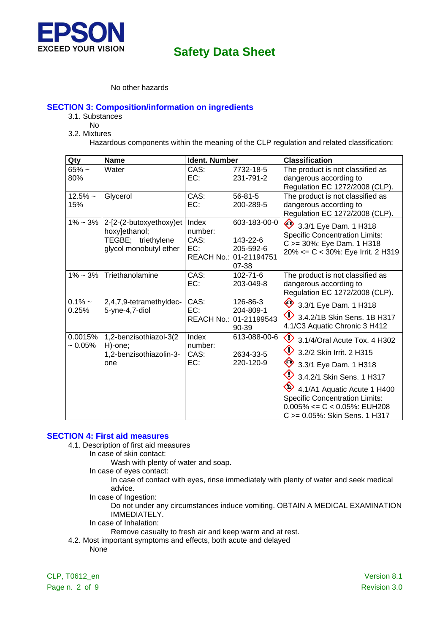

## No other hazards

## **SECTION 3: Composition/information on ingredients**

- 3.1. Substances
- No
- 3.2. Mixtures

Hazardous components within the meaning of the CLP regulation and related classification:

| Qty                | <b>Name</b>                                                                              | Ident. Number                   |                                                                          | <b>Classification</b>                                                                                                                                                                                                                                                                                      |
|--------------------|------------------------------------------------------------------------------------------|---------------------------------|--------------------------------------------------------------------------|------------------------------------------------------------------------------------------------------------------------------------------------------------------------------------------------------------------------------------------------------------------------------------------------------------|
| $65%$ ~<br>80%     | Water                                                                                    | CAS:<br>EC:                     | 7732-18-5<br>231-791-2                                                   | The product is not classified as<br>dangerous according to<br>Regulation EC 1272/2008 (CLP).                                                                                                                                                                                                               |
| $12.5%$ ~<br>15%   | Glycerol                                                                                 | CAS:<br>EC:                     | $56 - 81 - 5$<br>200-289-5                                               | The product is not classified as<br>dangerous according to<br>Regulation EC 1272/2008 (CLP).                                                                                                                                                                                                               |
| $1\% - 3\%$        | 2-[2-(2-butoxyethoxy)et<br>hoxy]ethanol;<br>TEGBE; triethylene<br>glycol monobutyl ether | Index<br>number:<br>CAS:<br>EC: | 603-183-00-0<br>143-22-6<br>205-592-6<br>REACH No.: 01-21194751<br>07-38 | 3.3/1 Eye Dam. 1 H318<br><b>Specific Concentration Limits:</b><br>C >= 30%: Eye Dam. 1 H318<br>20% <= C < 30%: Eye Irrit. 2 H319                                                                                                                                                                           |
| $1\% \sim 3\%$     | Triethanolamine                                                                          | CAS:<br>EC:                     | $102 - 71 - 6$<br>203-049-8                                              | The product is not classified as<br>dangerous according to<br>Regulation EC 1272/2008 (CLP).                                                                                                                                                                                                               |
| $0.1\%$ ~<br>0.25% | 2,4,7,9-tetramethyldec-<br>5-yne-4,7-diol                                                | CAS:<br>EC:                     | 126-86-3<br>204-809-1<br>REACH No.: 01-21199543<br>$90 - 39$             | ♦<br>3.3/1 Eye Dam. 1 H318<br>$\bigcirc$ 3.4.2/1B Skin Sens. 1B H317<br>4.1/C3 Aquatic Chronic 3 H412                                                                                                                                                                                                      |
| 0.0015%<br>~10.05% | 1,2-benzisothiazol-3(2<br>H)-one;<br>1,2-benzisothiazolin-3-<br>one                      | Index<br>number:<br>CAS:<br>EC: | 613-088-00-6<br>2634-33-5<br>220-120-9                                   | $\Diamond$<br>3.1/4/Oral Acute Tox. 4 H302<br>◇<br>3.2/2 Skin Irrit. 2 H315<br>$\diamondsuit$<br>3.3/1 Eye Dam. 1 H318<br>◇<br>3.4.2/1 Skin Sens. 1 H317<br>4.1/A1 Aquatic Acute 1 H400<br><b>Specific Concentration Limits:</b><br>$0.005\% \leq C \leq 0.05\%$ : EUH208<br>C >= 0.05%: Skin Sens. 1 H317 |

#### **SECTION 4: First aid measures**

- 4.1. Description of first aid measures
	- In case of skin contact:
		- Wash with plenty of water and soap.
		- In case of eyes contact:
			- In case of contact with eyes, rinse immediately with plenty of water and seek medical advice.
		- In case of Ingestion:

Do not under any circumstances induce vomiting. OBTAIN A MEDICAL EXAMINATION IMMEDIATELY.

In case of Inhalation:

Remove casualty to fresh air and keep warm and at rest.

4.2. Most important symptoms and effects, both acute and delayed None

CLP, T0612\_en Version 8.1 Page n. 2 of 9 Revision 3.0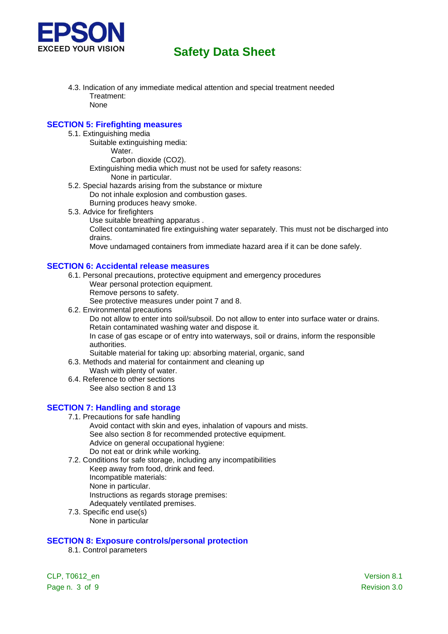

- 4.3. Indication of any immediate medical attention and special treatment needed Treatment: None
- 

## **SECTION 5: Firefighting measures**

- 5.1. Extinguishing media
	- Suitable extinguishing media:
		- Water.
			- Carbon dioxide (CO2).
	- Extinguishing media which must not be used for safety reasons:
		- None in particular.
- 5.2. Special hazards arising from the substance or mixture
	- Do not inhale explosion and combustion gases.
		- Burning produces heavy smoke.
- 5.3. Advice for firefighters
	- Use suitable breathing apparatus .

Collect contaminated fire extinguishing water separately. This must not be discharged into drains.

Move undamaged containers from immediate hazard area if it can be done safely.

#### **SECTION 6: Accidental release measures**

- 6.1. Personal precautions, protective equipment and emergency procedures
	- Wear personal protection equipment.
		- Remove persons to safety.

See protective measures under point 7 and 8.

6.2. Environmental precautions

Do not allow to enter into soil/subsoil. Do not allow to enter into surface water or drains. Retain contaminated washing water and dispose it.

In case of gas escape or of entry into waterways, soil or drains, inform the responsible authorities.

Suitable material for taking up: absorbing material, organic, sand

- 6.3. Methods and material for containment and cleaning up
	- Wash with plenty of water.
- 6.4. Reference to other sections See also section 8 and 13

## **SECTION 7: Handling and storage**

- 7.1. Precautions for safe handling
	- Avoid contact with skin and eyes, inhalation of vapours and mists. See also section 8 for recommended protective equipment. Advice on general occupational hygiene: Do not eat or drink while working.
- 7.2. Conditions for safe storage, including any incompatibilities Keep away from food, drink and feed. Incompatible materials: None in particular. Instructions as regards storage premises:
	-
	- Adequately ventilated premises.
- 7.3. Specific end use(s) None in particular

## **SECTION 8: Exposure controls/personal protection**

8.1. Control parameters

CLP, T0612\_en Version 8.1 Page n. 3 of 9 Revision 3.0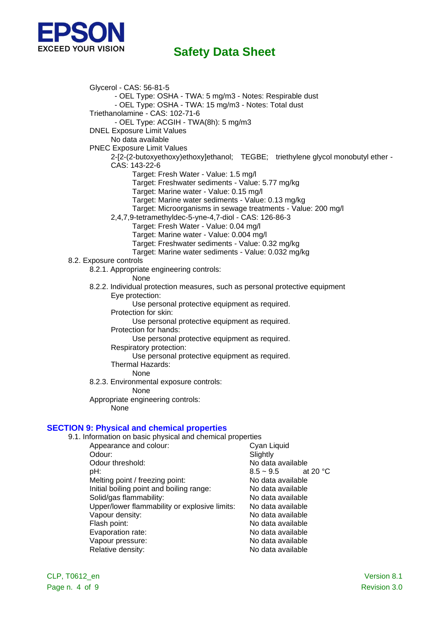

Glycerol - CAS: 56-81-5 - OEL Type: OSHA - TWA: 5 mg/m3 - Notes: Respirable dust - OEL Type: OSHA - TWA: 15 mg/m3 - Notes: Total dust Triethanolamine - CAS: 102-71-6 - OEL Type: ACGIH - TWA(8h): 5 mg/m3 DNEL Exposure Limit Values No data available PNEC Exposure Limit Values 2-[2-(2-butoxyethoxy)ethoxy]ethanol; TEGBE; triethylene glycol monobutyl ether - CAS: 143-22-6 Target: Fresh Water - Value: 1.5 mg/l Target: Freshwater sediments - Value: 5.77 mg/kg Target: Marine water - Value: 0.15 mg/l Target: Marine water sediments - Value: 0.13 mg/kg Target: Microorganisms in sewage treatments - Value: 200 mg/l 2,4,7,9-tetramethyldec-5-yne-4,7-diol - CAS: 126-86-3 Target: Fresh Water - Value: 0.04 mg/l Target: Marine water - Value: 0.004 mg/l Target: Freshwater sediments - Value: 0.32 mg/kg Target: Marine water sediments - Value: 0.032 mg/kg 8.2. Exposure controls 8.2.1. Appropriate engineering controls: None 8.2.2. Individual protection measures, such as personal protective equipment Eye protection: Use personal protective equipment as required. Protection for skin: Use personal protective equipment as required. Protection for hands: Use personal protective equipment as required. Respiratory protection: Use personal protective equipment as required. Thermal Hazards: None 8.2.3. Environmental exposure controls: None Appropriate engineering controls: None **SECTION 9: Physical and chemical properties** 9.1. Information on basic physical and chemical properties

| mionination on baolo physical and chomical proportion |                                  |
|-------------------------------------------------------|----------------------------------|
| Appearance and colour:                                | Cyan Liquid                      |
| Odour:                                                | Slightly                         |
| Odour threshold:                                      | No data available                |
| pH:                                                   | at 20 $\degree$ C<br>$8.5 - 9.5$ |
| Melting point / freezing point:                       | No data available                |
| Initial boiling point and boiling range:              | No data available                |
| Solid/gas flammability:                               | No data available                |
| Upper/lower flammability or explosive limits:         | No data available                |
| Vapour density:                                       | No data available                |
| Flash point:                                          | No data available                |
| Evaporation rate:                                     | No data available                |
| Vapour pressure:                                      | No data available                |
| Relative density:                                     | No data available                |
|                                                       |                                  |

CLP, T0612\_en Version 8.1 Page n. 4 of 9 Revision 3.0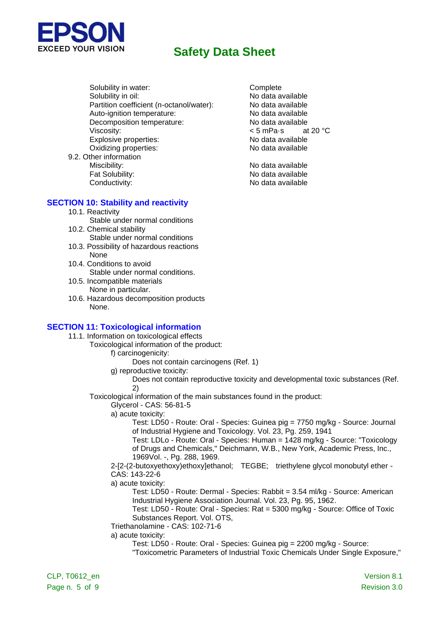

Solubility in water:<br>
Solubility in oil:<br>
No data a Partition coefficient (n-octanol/water): Auto-ignition temperature: No data available Decomposition temperature: No data available Viscosity:  $\leq 5$  mPa·s at 20 °C Explosive properties: No data available Oxidizing properties: No data available 9.2. Other information

# No data available<br>No data available

Miscibility: No data available Fat Solubility: No data available Conductivity: Conductivity: No data available

## **SECTION 10: Stability and reactivity**

- 10.1. Reactivity
- Stable under normal conditions 10.2. Chemical stability
- Stable under normal conditions 10.3. Possibility of hazardous reactions
- None
- 10.4. Conditions to avoid Stable under normal conditions.
- 10.5. Incompatible materials None in particular.
- 10.6. Hazardous decomposition products None.

#### **SECTION 11: Toxicological information**

- 11.1. Information on toxicological effects
	- Toxicological information of the product:

#### f) carcinogenicity:

- Does not contain carcinogens (Ref. 1)
- g) reproductive toxicity:
	- Does not contain reproductive toxicity and developmental toxic substances (Ref. 2)
- Toxicological information of the main substances found in the product:
	- Glycerol CAS: 56-81-5
	- a) acute toxicity:
		- Test: LD50 Route: Oral Species: Guinea pig = 7750 mg/kg Source: Journal of Industrial Hygiene and Toxicology. Vol. 23, Pg. 259, 1941
		- Test: LDLo Route: Oral Species: Human = 1428 mg/kg Source: "Toxicology of Drugs and Chemicals," Deichmann, W.B., New York, Academic Press, Inc., 1969Vol. -, Pg. 288, 1969.
	- 2-[2-(2-butoxyethoxy)ethoxy]ethanol; TEGBE; triethylene glycol monobutyl ether CAS: 143-22-6
	- a) acute toxicity:
		- Test: LD50 Route: Dermal Species: Rabbit = 3.54 ml/kg Source: American Industrial Hygiene Association Journal. Vol. 23, Pg. 95, 1962.
		- Test: LD50 Route: Oral Species: Rat = 5300 mg/kg Source: Office of Toxic Substances Report. Vol. OTS,
	- Triethanolamine CAS: 102-71-6
	- a) acute toxicity:
		- Test: LD50 Route: Oral Species: Guinea pig = 2200 mg/kg Source:
		- "Toxicometric Parameters of Industrial Toxic Chemicals Under Single Exposure,"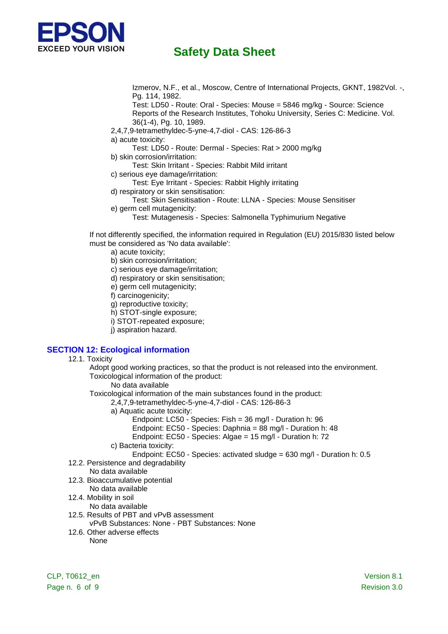

Izmerov, N.F., et al., Moscow, Centre of International Projects, GKNT, 1982Vol. -, Pg. 114, 1982.

Test: LD50 - Route: Oral - Species: Mouse = 5846 mg/kg - Source: Science Reports of the Research Institutes, Tohoku University, Series C: Medicine. Vol. 36(1-4), Pg. 10, 1989.

- 2,4,7,9-tetramethyldec-5-yne-4,7-diol CAS: 126-86-3
- a) acute toxicity:
- Test: LD50 Route: Dermal Species: Rat > 2000 mg/kg b) skin corrosion/irritation:
	- Test: Skin Irritant Species: Rabbit Mild irritant
- c) serious eye damage/irritation:
- Test: Eye Irritant Species: Rabbit Highly irritating
- d) respiratory or skin sensitisation:
- Test: Skin Sensitisation Route: LLNA Species: Mouse Sensitiser
- e) germ cell mutagenicity:
	- Test: Mutagenesis Species: Salmonella Typhimurium Negative

If not differently specified, the information required in Regulation (EU) 2015/830 listed below must be considered as 'No data available':

- a) acute toxicity;
- b) skin corrosion/irritation;
- c) serious eye damage/irritation;
- d) respiratory or skin sensitisation;
- e) germ cell mutagenicity;
- f) carcinogenicity;
- g) reproductive toxicity;
- h) STOT-single exposure;
- i) STOT-repeated exposure;
- j) aspiration hazard.

## **SECTION 12: Ecological information**

12.1. Toxicity

Adopt good working practices, so that the product is not released into the environment. Toxicological information of the product:

No data available

Toxicological information of the main substances found in the product:

- 2,4,7,9-tetramethyldec-5-yne-4,7-diol CAS: 126-86-3
	- a) Aquatic acute toxicity:
		- Endpoint: LC50 Species: Fish = 36 mg/l Duration h: 96
		- Endpoint: EC50 Species: Daphnia = 88 mg/l Duration h: 48
		- Endpoint: EC50 Species: Algae = 15 mg/l Duration h: 72
	- c) Bacteria toxicity:
		- Endpoint: EC50 Species: activated sludge = 630 mg/l Duration h: 0.5
- 12.2. Persistence and degradability
	- No data available
- 12.3. Bioaccumulative potential
	- No data available
- 12.4. Mobility in soil
	- No data available
- 12.5. Results of PBT and vPvB assessment
- vPvB Substances: None PBT Substances: None
- 12.6. Other adverse effects None

CLP, T0612\_en Version 8.1 Page n. 6 of 9 Revision 3.0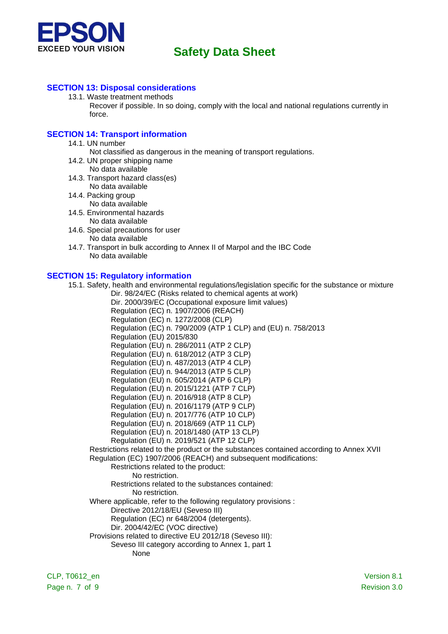

#### **SECTION 13: Disposal considerations**

13.1. Waste treatment methods Recover if possible. In so doing, comply with the local and national regulations currently in force.

#### **SECTION 14: Transport information**

- 14.1. UN number
	- Not classified as dangerous in the meaning of transport regulations.
- 14.2. UN proper shipping name
	- No data available
- 14.3. Transport hazard class(es) No data available
- 14.4. Packing group
	- No data available
- 14.5. Environmental hazards
- No data available
- 14.6. Special precautions for user No data available
- 14.7. Transport in bulk according to Annex II of Marpol and the IBC Code No data available

#### **SECTION 15: Regulatory information**

15.1. Safety, health and environmental regulations/legislation specific for the substance or mixture Dir. 98/24/EC (Risks related to chemical agents at work) Dir. 2000/39/EC (Occupational exposure limit values)

Regulation (EC) n. 1907/2006 (REACH) Regulation (EC) n. 1272/2008 (CLP) Regulation (EC) n. 790/2009 (ATP 1 CLP) and (EU) n. 758/2013 Regulation (EU) 2015/830 Regulation (EU) n. 286/2011 (ATP 2 CLP) Regulation (EU) n. 618/2012 (ATP 3 CLP) Regulation (EU) n. 487/2013 (ATP 4 CLP) Regulation (EU) n. 944/2013 (ATP 5 CLP) Regulation (EU) n. 605/2014 (ATP 6 CLP) Regulation (EU) n. 2015/1221 (ATP 7 CLP) Regulation (EU) n. 2016/918 (ATP 8 CLP) Regulation (EU) n. 2016/1179 (ATP 9 CLP) Regulation (EU) n. 2017/776 (ATP 10 CLP) Regulation (EU) n. 2018/669 (ATP 11 CLP) Regulation (EU) n. 2018/1480 (ATP 13 CLP) Regulation (EU) n. 2019/521 (ATP 12 CLP) Restrictions related to the product or the substances contained according to Annex XVII Regulation (EC) 1907/2006 (REACH) and subsequent modifications: Restrictions related to the product: No restriction. Restrictions related to the substances contained: No restriction. Where applicable, refer to the following regulatory provisions : Directive 2012/18/EU (Seveso III) Regulation (EC) nr 648/2004 (detergents). Dir. 2004/42/EC (VOC directive) Provisions related to directive EU 2012/18 (Seveso III): Seveso III category according to Annex 1, part 1 None

CLP, T0612\_en Version 8.1 Page n. 7 of 9 Revision 3.0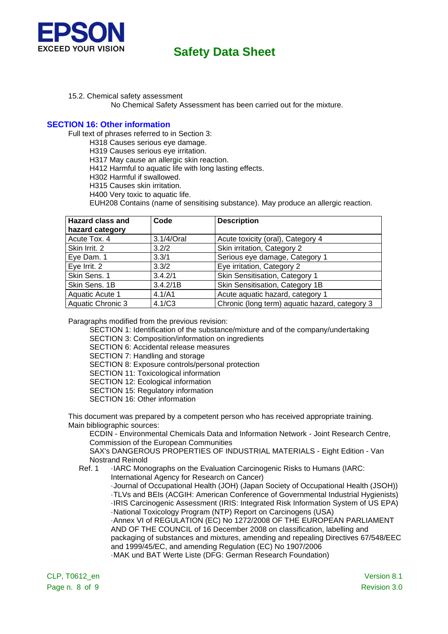

- 15.2. Chemical safety assessment
	- No Chemical Safety Assessment has been carried out for the mixture.

#### **SECTION 16: Other information**

Full text of phrases referred to in Section 3:

- H318 Causes serious eye damage.
- H319 Causes serious eye irritation.
- H317 May cause an allergic skin reaction.
- H412 Harmful to aquatic life with long lasting effects.
- H302 Harmful if swallowed.
- H315 Causes skin irritation.
- H400 Very toxic to aquatic life.

EUH208 Contains (name of sensitising substance). May produce an allergic reaction.

| <b>Hazard class and</b><br>hazard category | Code       | <b>Description</b>                             |
|--------------------------------------------|------------|------------------------------------------------|
| Acute Tox. 4                               | 3.1/4/Oral | Acute toxicity (oral), Category 4              |
| Skin Irrit. 2                              | 3.2/2      | Skin irritation, Category 2                    |
| Eye Dam. 1                                 | 3.3/1      | Serious eye damage, Category 1                 |
| Eye Irrit. 2                               | 3.3/2      | Eye irritation, Category 2                     |
| Skin Sens. 1                               | 3.4.2/1    | Skin Sensitisation, Category 1                 |
| Skin Sens. 1B                              | 3.4.2/1B   | Skin Sensitisation, Category 1B                |
| Aquatic Acute 1                            | 4.1/A1     | Acute aquatic hazard, category 1               |
| Aquatic Chronic 3                          | 4.1/C3     | Chronic (long term) aquatic hazard, category 3 |

Paragraphs modified from the previous revision:

SECTION 1: Identification of the substance/mixture and of the company/undertaking

SECTION 3: Composition/information on ingredients

SECTION 6: Accidental release measures

SECTION 7: Handling and storage

SECTION 8: Exposure controls/personal protection

SECTION 11: Toxicological information

SECTION 12: Ecological information

SECTION 15: Regulatory information

SECTION 16: Other information

This document was prepared by a competent person who has received appropriate training. Main bibliographic sources:

ECDIN - Environmental Chemicals Data and Information Network - Joint Research Centre, Commission of the European Communities

SAX's DANGEROUS PROPERTIES OF INDUSTRIAL MATERIALS - Eight Edition - Van Nostrand Reinold

Ref. 1 · IARC Monographs on the Evaluation Carcinogenic Risks to Humans (IARC: International Agency for Research on Cancer) ·Journal of Occupational Health (JOH) (Japan Society of Occupational Health (JSOH)) ·TLVs and BEIs (ACGIH: American Conference of Governmental Industrial Hygienists) ·IRIS Carcinogenic Assessment (IRIS: Integrated Risk Information System of US EPA) ·National Toxicology Program (NTP) Report on Carcinogens (USA) ·Annex VI of REGULATION (EC) No 1272/2008 OF THE EUROPEAN PARLIAMENT AND OF THE COUNCIL of 16 December 2008 on classification, labelling and packaging of substances and mixtures, amending and repealing Directives 67/548/EEC and 1999/45/EC, and amending Regulation (EC) No 1907/2006 ·MAK und BAT Werte Liste (DFG: German Research Foundation)

CLP, T0612\_en Version 8.1 Page n. 8 of 9 Revision 3.0